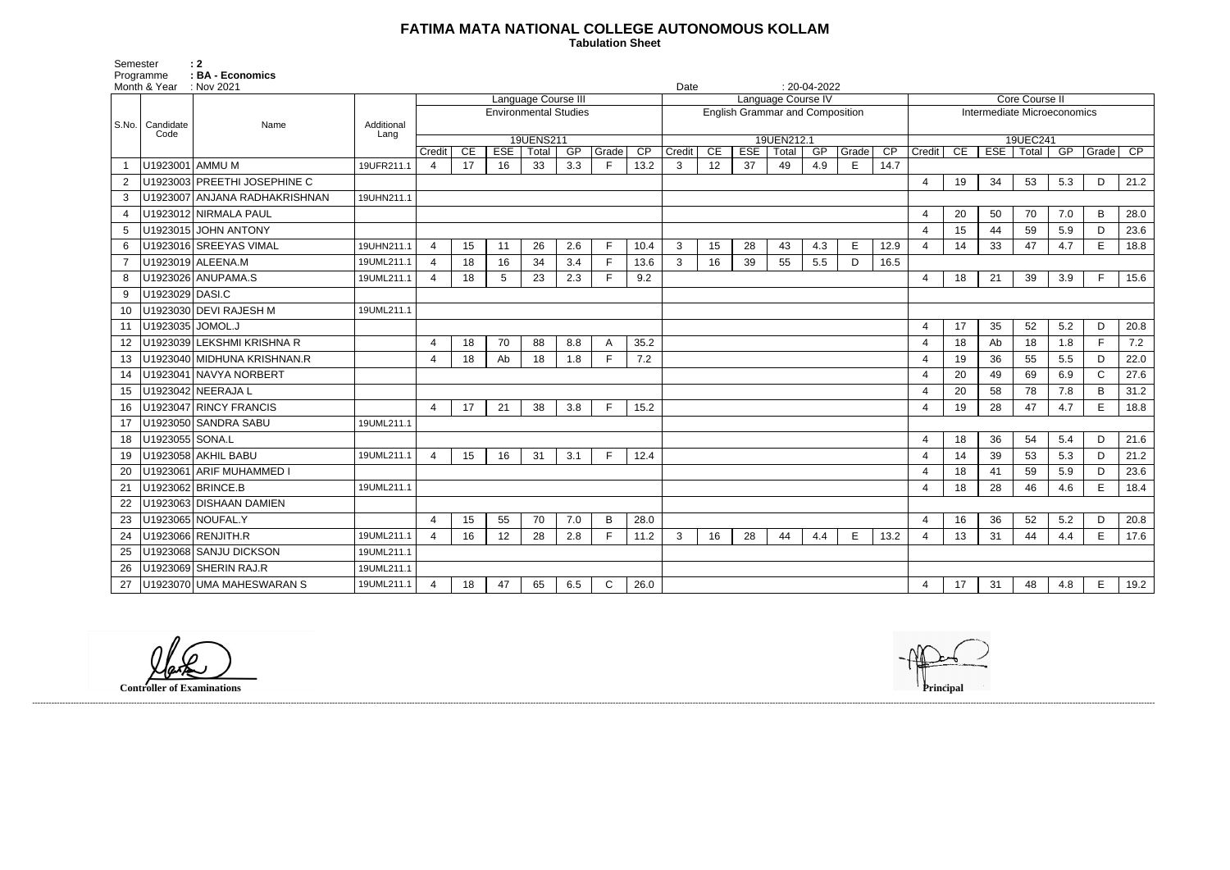## **FATIMA MATA NATIONAL COLLEGE AUTONOMOUS KOLLAM**

 **Tabulation Sheet** 

Semester : 2 Programme : **BA - Economics** 

|                |                           | Month & Year : Nov 2021       |                    |                                                                       |    |    |    |     |              |                                                                        |                                        | $: 20-04-2022$<br>Date |    |    |     |   |                             |                |    |                         |    |                |              |      |  |  |
|----------------|---------------------------|-------------------------------|--------------------|-----------------------------------------------------------------------|----|----|----|-----|--------------|------------------------------------------------------------------------|----------------------------------------|------------------------|----|----|-----|---|-----------------------------|----------------|----|-------------------------|----|----------------|--------------|------|--|--|
|                |                           | Name                          |                    | Language Course III                                                   |    |    |    |     |              |                                                                        | Language Course IV                     |                        |    |    |     |   |                             | Core Course II |    |                         |    |                |              |      |  |  |
|                |                           |                               |                    | <b>Environmental Studies</b>                                          |    |    |    |     |              |                                                                        | <b>English Grammar and Composition</b> |                        |    |    |     |   | Intermediate Microeconomics |                |    |                         |    |                |              |      |  |  |
|                | S.No.   Candidate<br>Code |                               | Additional<br>Lang |                                                                       |    |    |    |     |              |                                                                        |                                        |                        |    |    |     |   |                             |                |    |                         |    |                |              |      |  |  |
|                |                           |                               |                    | 19UENS211<br><b>ESE</b><br>GP<br>Grade<br>CP<br>CE<br>Total<br>Credit |    |    |    |     |              | 19UEN212.1<br>CE<br><b>ESE</b><br>Total<br>GP<br>CP<br>Credit<br>Grade |                                        |                        |    |    |     |   | Credit                      | CE             |    | 19UEC241<br>ESE   Total | GF | $\sqrt{Grade}$ | CP           |      |  |  |
|                | U1923001 AMMU M           |                               | 19UFR211.1         | $\boldsymbol{\Delta}$                                                 | 17 | 16 | 33 | 3.3 | F            | 13.2                                                                   | 3                                      | 12                     | 37 | 49 | 4.9 | E | 14.7                        |                |    |                         |    |                |              |      |  |  |
| $\overline{2}$ |                           | U1923003 PREETHI JOSEPHINE C  |                    |                                                                       |    |    |    |     |              |                                                                        |                                        |                        |    |    |     |   |                             | $\overline{4}$ | 19 | 34                      | 53 | 5.3            | D            | 21.2 |  |  |
| 3              |                           | U1923007 ANJANA RADHAKRISHNAN | 19UHN211.1         |                                                                       |    |    |    |     |              |                                                                        |                                        |                        |    |    |     |   |                             |                |    |                         |    |                |              |      |  |  |
|                |                           | U1923012 NIRMALA PAUL         |                    |                                                                       |    |    |    |     |              |                                                                        |                                        |                        |    |    |     |   |                             | $\overline{4}$ | 20 | 50                      | 70 | 7.0            | B            | 28.0 |  |  |
| 5              |                           | U1923015 JOHN ANTONY          |                    |                                                                       |    |    |    |     |              |                                                                        |                                        |                        |    |    |     |   |                             | $\overline{4}$ | 15 | 44                      | 59 | 5.9            | D            | 23.6 |  |  |
| 6              |                           | U1923016 SREEYAS VIMAL        | 19UHN211.1         | $\overline{4}$                                                        | 15 | 11 | 26 | 2.6 |              | 10.4                                                                   | 3                                      | 15                     | 28 | 43 | 4.3 | E | 12.9                        | $\overline{4}$ | 14 | 33                      | 47 | 4.7            | E            | 18.8 |  |  |
| 7              |                           | U1923019 ALEENA.M             | 19UML211.1         | $\overline{4}$                                                        | 18 | 16 | 34 | 3.4 | F            | 13.6                                                                   | 3                                      | 16                     | 39 | 55 | 5.5 | D | 16.5                        |                |    |                         |    |                |              |      |  |  |
| 8              |                           | U1923026 ANUPAMA.S            | 19UML211.1         | $\boldsymbol{\Delta}$                                                 | 18 | 5  | 23 | 2.3 | F            | 9.2                                                                    |                                        |                        |    |    |     |   |                             | $\overline{4}$ | 18 | 21                      | 39 | 3.9            | F.           | 15.6 |  |  |
| 9              | U1923029 DASI.C           |                               |                    |                                                                       |    |    |    |     |              |                                                                        |                                        |                        |    |    |     |   |                             |                |    |                         |    |                |              |      |  |  |
| 10             |                           | U1923030 DEVI RAJESH M        | 19UML211.1         |                                                                       |    |    |    |     |              |                                                                        |                                        |                        |    |    |     |   |                             |                |    |                         |    |                |              |      |  |  |
| 11             | U1923035 JOMOL.J          |                               |                    |                                                                       |    |    |    |     |              |                                                                        |                                        |                        |    |    |     |   |                             | $\overline{4}$ | 17 | 35                      | 52 | 5.2            | D            | 20.8 |  |  |
| 12             |                           | U1923039 LEKSHMI KRISHNA R    |                    | 4                                                                     | 18 | 70 | 88 | 8.8 | A            | 35.2                                                                   |                                        |                        |    |    |     |   |                             | $\overline{4}$ | 18 | Ab                      | 18 | 1.8            | F            | 7.2  |  |  |
| 13             |                           | U1923040 MIDHUNA KRISHNAN.R   |                    | $\boldsymbol{\Delta}$                                                 | 18 | Ab | 18 | 1.8 | F.           | 7.2                                                                    |                                        |                        |    |    |     |   |                             | $\overline{4}$ | 19 | 36                      | 55 | 5.5            | D            | 22.0 |  |  |
| 14             |                           | U1923041 NAVYA NORBERT        |                    |                                                                       |    |    |    |     |              |                                                                        |                                        |                        |    |    |     |   |                             | $\overline{4}$ | 20 | 49                      | 69 | 6.9            | $\mathsf{C}$ | 27.6 |  |  |
| 15             |                           | U1923042 NEERAJA L            |                    |                                                                       |    |    |    |     |              |                                                                        |                                        |                        |    |    |     |   |                             | $\overline{4}$ | 20 | 58                      | 78 | 7.8            | B            | 31.2 |  |  |
| 16             |                           | U1923047 RINCY FRANCIS        |                    | 4                                                                     | 17 | 21 | 38 | 3.8 | F            | 15.2                                                                   |                                        |                        |    |    |     |   |                             | $\overline{4}$ | 19 | 28                      | 47 | 4.7            | E            | 18.8 |  |  |
| 17             |                           | U1923050 SANDRA SABU          | 19UML211.1         |                                                                       |    |    |    |     |              |                                                                        |                                        |                        |    |    |     |   |                             |                |    |                         |    |                |              |      |  |  |
| 18             | U1923055 SONA.L           |                               |                    |                                                                       |    |    |    |     |              |                                                                        |                                        |                        |    |    |     |   |                             | $\overline{4}$ | 18 | 36                      | 54 | 5.4            | D            | 21.6 |  |  |
| 19             |                           | U1923058 AKHIL BABU           | 19UML211.1         | $\boldsymbol{\Delta}$                                                 | 15 | 16 | 31 | 3.1 | E            | 12.4                                                                   |                                        |                        |    |    |     |   |                             | $\overline{4}$ | 14 | 39                      | 53 | 5.3            | D            | 21.2 |  |  |
| 20             |                           | U1923061 ARIF MUHAMMED I      |                    |                                                                       |    |    |    |     |              |                                                                        |                                        |                        |    |    |     |   |                             | $\overline{4}$ | 18 | 41                      | 59 | 5.9            | D            | 23.6 |  |  |
| 21             | U1923062 BRINCE.B         |                               | 19UML211.1         |                                                                       |    |    |    |     |              |                                                                        |                                        |                        |    |    |     |   |                             | $\overline{4}$ | 18 | 28                      | 46 | 4.6            | E.           | 18.4 |  |  |
| 22             |                           | U1923063 DISHAAN DAMIEN       |                    |                                                                       |    |    |    |     |              |                                                                        |                                        |                        |    |    |     |   |                             |                |    |                         |    |                |              |      |  |  |
| 23             |                           | U1923065 NOUFAL.Y             |                    | $\boldsymbol{\Delta}$                                                 | 15 | 55 | 70 | 7.0 | B            | 28.0                                                                   |                                        |                        |    |    |     |   |                             | $\overline{4}$ | 16 | 36                      | 52 | 5.2            | D            | 20.8 |  |  |
| 24             |                           | U1923066 RENJITH.R            | 19UML211.1         | $\overline{4}$                                                        | 16 | 12 | 28 | 2.8 | F.           | 11.2                                                                   | 3                                      | 16                     | 28 | 44 | 4.4 | E | 13.2                        | $\overline{4}$ | 13 | 31                      | 44 | 4.4            | E            | 17.6 |  |  |
| 25             |                           | U1923068 SANJU DICKSON        | 19UML211.1         |                                                                       |    |    |    |     |              |                                                                        |                                        |                        |    |    |     |   |                             |                |    |                         |    |                |              |      |  |  |
| 26             |                           | U1923069 SHERIN RAJ.R         | 19UML211.1         |                                                                       |    |    |    |     |              |                                                                        |                                        |                        |    |    |     |   |                             |                |    |                         |    |                |              |      |  |  |
|                |                           | U1923070 UMA MAHESWARAN S     | 19UML211.1         | $\boldsymbol{\Delta}$                                                 | 18 | 47 | 65 | 6.5 | $\mathsf{C}$ | 26.0                                                                   |                                        |                        |    |    |     |   |                             | $\overline{4}$ | 17 | 31                      | 48 | 4.8            | E            | 19.2 |  |  |

**Controller of Examinations Principal**

------------------------------------------------------------------------------------------------------------------------------------------------------------------------------------------------------------------------------------------------------------------------------------------------------------------------------------------------------------------------------------------------------------------------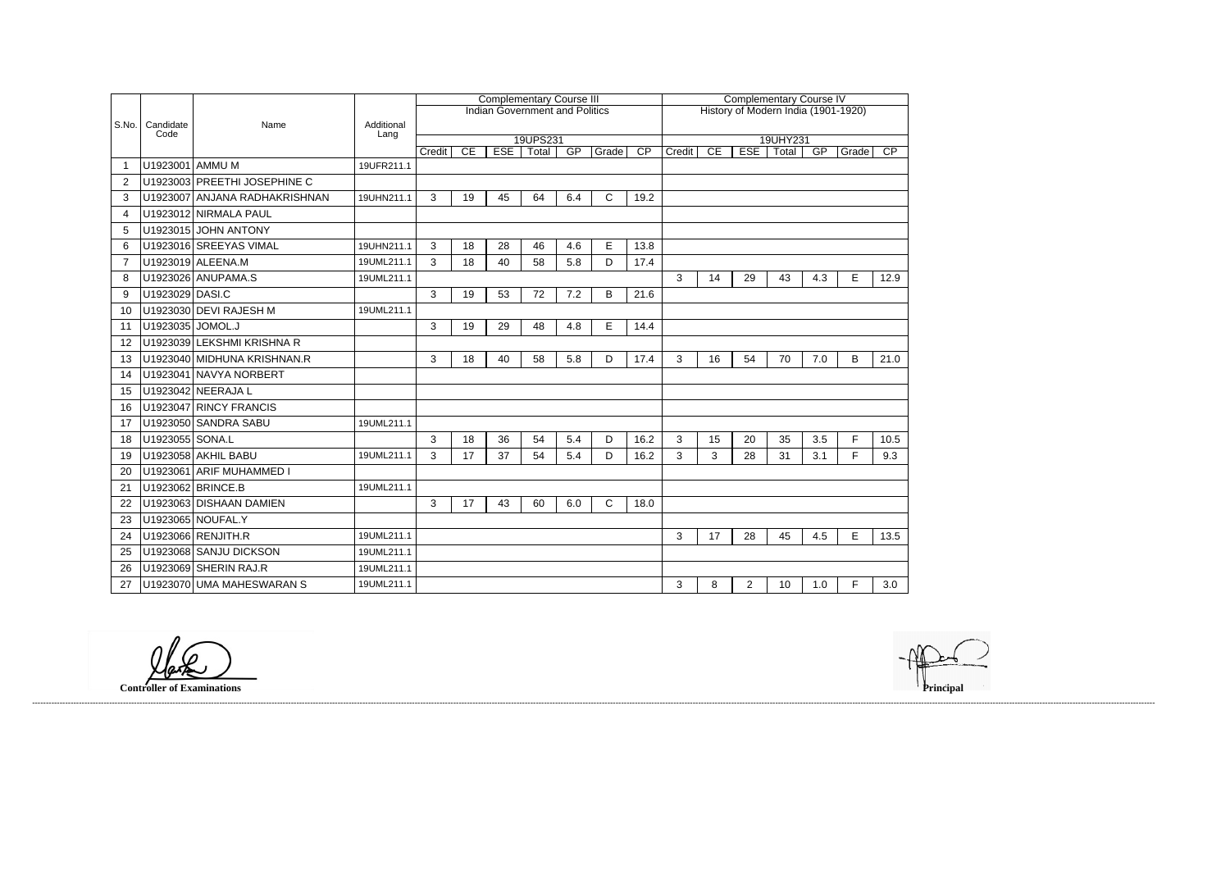|                |                         |                               |                    |        |    |            | <b>Complementary Course III</b>       |     |              |                                     | <b>Complementary Course IV</b> |    |                |                   |     |       |                 |  |
|----------------|-------------------------|-------------------------------|--------------------|--------|----|------------|---------------------------------------|-----|--------------|-------------------------------------|--------------------------------|----|----------------|-------------------|-----|-------|-----------------|--|
|                |                         |                               |                    |        |    |            | <b>Indian Government and Politics</b> |     |              | History of Modern India (1901-1920) |                                |    |                |                   |     |       |                 |  |
| S.No.          | Candidate<br>Code       | Name                          | Additional<br>Lang |        |    |            |                                       |     |              |                                     |                                |    |                |                   |     |       |                 |  |
|                |                         |                               |                    | Credit | CE | <b>ESE</b> | 19UPS231<br>Total                     | GP  | Grade        | $\overline{CP}$                     | Credit                         | CE | <b>ESE</b>     | 19UHY231<br>Total | GP  | Grade | $\overline{CP}$ |  |
| -1             | U1923001 AMMU M         |                               | 19UFR211.1         |        |    |            |                                       |     |              |                                     |                                |    |                |                   |     |       |                 |  |
| $\overline{2}$ |                         | U1923003 PREETHI JOSEPHINE C  |                    |        |    |            |                                       |     |              |                                     |                                |    |                |                   |     |       |                 |  |
| 3              |                         | U1923007 ANJANA RADHAKRISHNAN | 19UHN211.1         | 3      | 19 | 45         | 64                                    | 6.4 | C            | 19.2                                |                                |    |                |                   |     |       |                 |  |
| $\overline{4}$ |                         | U1923012 NIRMALA PAUL         |                    |        |    |            |                                       |     |              |                                     |                                |    |                |                   |     |       |                 |  |
| 5              |                         | U1923015 JOHN ANTONY          |                    |        |    |            |                                       |     |              |                                     |                                |    |                |                   |     |       |                 |  |
| 6              |                         | U1923016 SREEYAS VIMAL        | 19UHN211.1         | 3      | 18 | 28         | 46                                    | 4.6 | E            | 13.8                                |                                |    |                |                   |     |       |                 |  |
| $\overline{7}$ |                         | U1923019 ALEENA.M             | 19UML211.1         | 3      | 18 | 40         | 58                                    | 5.8 | D            | 17.4                                |                                |    |                |                   |     |       |                 |  |
| 8              |                         | U1923026 ANUPAMA.S            | 19UML211.1         |        |    |            |                                       |     |              |                                     | 3                              | 14 | 29             | 43                | 4.3 | E     | 12.9            |  |
| 9              | U1923029 DASI.C         |                               |                    | 3      | 19 | 53         | 72                                    | 7.2 | B            | 21.6                                |                                |    |                |                   |     |       |                 |  |
| 10             |                         | U1923030 DEVI RAJESH M        | 19UML211.1         |        |    |            |                                       |     |              |                                     |                                |    |                |                   |     |       |                 |  |
| -11            |                         | U1923035 JOMOL.J              |                    | 3      | 19 | 29         | 48                                    | 4.8 | E            | 14.4                                |                                |    |                |                   |     |       |                 |  |
| 12             |                         | U1923039 LEKSHMI KRISHNA R    |                    |        |    |            |                                       |     |              |                                     |                                |    |                |                   |     |       |                 |  |
| 13             |                         | U1923040 MIDHUNA KRISHNAN.R   |                    | 3      | 18 | 40         | 58                                    | 5.8 | D            | 17.4                                | 3                              | 16 | 54             | 70                | 7.0 | B     | 21.0            |  |
| 14             |                         | U1923041 NAVYA NORBERT        |                    |        |    |            |                                       |     |              |                                     |                                |    |                |                   |     |       |                 |  |
| 15             |                         | U1923042 NEERAJA L            |                    |        |    |            |                                       |     |              |                                     |                                |    |                |                   |     |       |                 |  |
| 16             |                         | U1923047 RINCY FRANCIS        |                    |        |    |            |                                       |     |              |                                     |                                |    |                |                   |     |       |                 |  |
| 17             |                         | U1923050 SANDRA SABU          | 19UML211.1         |        |    |            |                                       |     |              |                                     |                                |    |                |                   |     |       |                 |  |
| 18             | U1923055 SONA.L         |                               |                    | 3      | 18 | 36         | 54                                    | 5.4 | D            | 16.2                                | 3                              | 15 | 20             | 35                | 3.5 | F     | 10.5            |  |
| 19             |                         | U1923058 AKHIL BABU           | 19UML211.1         | 3      | 17 | 37         | 54                                    | 5.4 | D            | 16.2                                | 3                              | 3  | 28             | 31                | 3.1 | F.    | 9.3             |  |
| 20             |                         | U1923061 ARIF MUHAMMED I      |                    |        |    |            |                                       |     |              |                                     |                                |    |                |                   |     |       |                 |  |
| 21             |                         | U1923062 BRINCE.B             | 19UML211.1         |        |    |            |                                       |     |              |                                     |                                |    |                |                   |     |       |                 |  |
| 22             | U1923063 DISHAAN DAMIEN |                               |                    | 3      | 17 | 43         | 60                                    | 6.0 | $\mathsf{C}$ | 18.0                                |                                |    |                |                   |     |       |                 |  |
| 23             |                         | U1923065 NOUFAL.Y             |                    |        |    |            |                                       |     |              |                                     |                                |    |                |                   |     |       |                 |  |
| 24             |                         | U1923066 RENJITH.R            | 19UML211.1         |        |    |            |                                       |     |              |                                     | 3                              | 17 | 28             | 45                | 4.5 | E     | 13.5            |  |
| 25             |                         | U1923068 SANJU DICKSON        | 19UML211.1         |        |    |            |                                       |     |              |                                     |                                |    |                |                   |     |       |                 |  |
| 26             |                         | U1923069 SHERIN RAJ.R         | 19UML211.1         |        |    |            |                                       |     |              |                                     |                                |    |                |                   |     |       |                 |  |
| 27             |                         | U1923070 UMA MAHESWARAN S     | 19UML211.1         |        |    |            |                                       |     |              |                                     | 3                              | 8  | $\overline{2}$ | 10                | 1.0 | F     | 3.0             |  |

**Controller of Examinations** 

------------------------------------------------------------------------------------------------------------------------------------------------------------------------------------------------------------------------------------------------------------------------------------------------------------------------------------------------------------------------------------------------------------------------